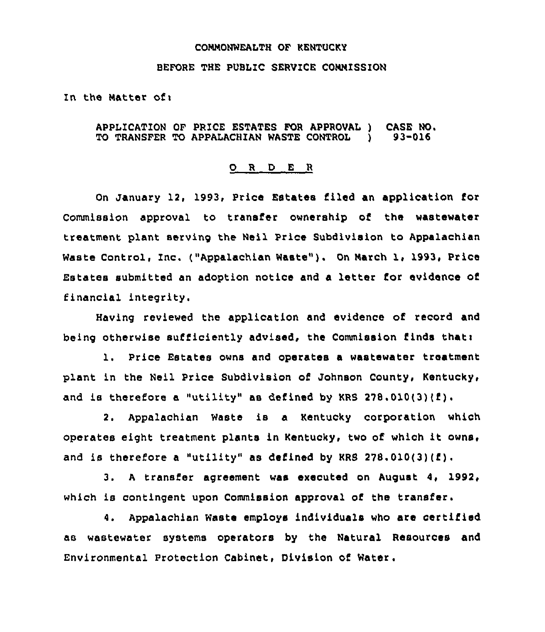## CONHONWEALTH OF KENTUCKY

## BEFORE THE PUBLIC SERVICE CONNISSION

In the Matter of:

## APPLICATION OF PRICE ESTATES FOR APPROVAL ) CASE NO.<br>TO TRANSFER TO APPALACHIAN WASTE CONTROL ) 93-016 TO TRANSFER TO APPALACHIAN WASTE CONTROL )

## 0 <sup>R</sup> <sup>D</sup> E <sup>R</sup>

On January 12, 1993, Price Estates filed an application for Commission approval to transfer ownership of the wastewater treatment plant serving the Neil Price Subdivision to Appalachian Waste Control, Inc. ("Appalachian Waste" ). On Narch 1, 1993, Price Estates submitted an adoption notice and a letter for evidence of financial integrity.

Having reviewed the application and evidence of record and being otherwise sufficiently advised, the Commission finds thati

1. Price Estates owns and operates <sup>a</sup> wastewater treatment plant in the Neil Price Subdivision of Johnson County, Kentucky, and is therefore a "utility" as defined by KRS 278.010(3)(f).

2. Appalachian Waste is a Kentucky corporation which operates eight treatment plants in Kentucky, two of which it owns, and is therefore <sup>a</sup> "utility" as defined by KRS 278.010(3)(f) .

3. <sup>A</sup> transfer agreement was executed on August 4, 1992, which is contingent upon Commission approval of the transfer.

4. Appalachian Waste employs individuals who are certified as wastewater systems operators by the Natural Resources and Environmental Protection Cabinet, Division of Water.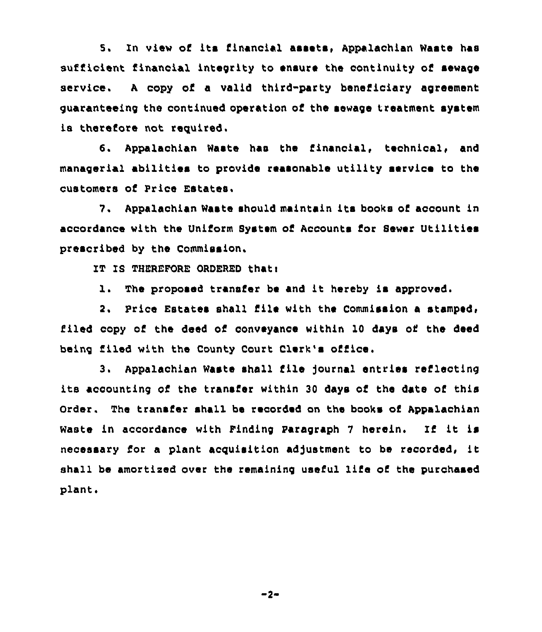5. In view of its financial assets, Appalachian Waste has sufficient financial integrity to ensure the continuity of sewage service. <sup>A</sup> copy of a valid third-party beneficiary agreement guaranteeing the continued operation of the sewage treatment system is therefore not reguired.

6. Appalachian Waste has the financial, technical, and managerial abilities to provide reasonable utility service to the customers of Price Estates.

7. Appalachian Waste should maintain its books of account in accordance with the Uniform System of Accounts for Sewer Utilities prescribed by the Commission.

IT IS THEREFORE ORDERED thati

1. The proposed transfer be and it hereby is approved.

2. Price Estates shall file with the Commission a stamped, filed copy of the deed of conveyance within 10 days of the deed being filed with the County Court Clerk's office.

3. Appalachian Waste shall file journal entries reflecting its accounting of the transfer within <sup>30</sup> days of the date of this Order. The transfer shall be recorded on the books of Appalachian Waste in accordance with Finding Paragraph <sup>7</sup> herein. If it is necessary for a plant acquisition adjustment to be recorded, it shall be amortised over the remaining useful life of the purchased plant.

 $-2-$